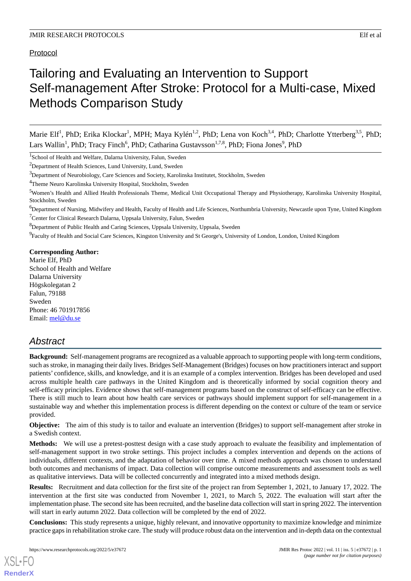Protocol

# Tailoring and Evaluating an Intervention to Support Self-management After Stroke: Protocol for a Multi-case, Mixed Methods Comparison Study

Marie Elf<sup>1</sup>, PhD; Erika Klockar<sup>1</sup>, MPH; Maya Kylén<sup>1,2</sup>, PhD; Lena von Koch<sup>3,4</sup>, PhD; Charlotte Ytterberg<sup>3,5</sup>, PhD; Lars Wallin<sup>1</sup>, PhD; Tracy Finch<sup>6</sup>, PhD; Catharina Gustavsson<sup>1,7,8</sup>, PhD; Fiona Jones<sup>9</sup>, PhD

<sup>1</sup>School of Health and Welfare, Dalarna University, Falun, Sweden

<sup>2</sup>Department of Health Sciences, Lund University, Lund, Sweden

<sup>3</sup>Department of Neurobiology, Care Sciences and Society, Karolinska Institutet, Stockholm, Sweden

<sup>4</sup>Theme Neuro Karolinska University Hospital, Stockholm, Sweden

 ${}^{6}$ Department of Nursing, Midwifery and Health, Faculty of Health and Life Sciences, Northumbria University, Newcastle upon Tyne, United Kingdom <sup>7</sup>Center for Clinical Research Dalarna, Uppsala University, Falun, Sweden

<sup>8</sup>Department of Public Health and Caring Sciences, Uppsala University, Uppsala, Sweden

<sup>9</sup> Faculty of Health and Social Care Sciences, Kingston University and St George's, University of London, London, United Kingdom

## **Corresponding Author:**

Marie Elf, PhD School of Health and Welfare Dalarna University Högskolegatan 2 Falun, 79188 Sweden Phone: 46 701917856 Email: [mel@du.se](mailto:mel@du.se)

# *Abstract*

**Background:** Self-management programs are recognized as a valuable approach to supporting people with long-term conditions, such as stroke, in managing their daily lives. Bridges Self-Management (Bridges) focuses on how practitioners interact and support patients' confidence, skills, and knowledge, and it is an example of a complex intervention. Bridges has been developed and used across multiple health care pathways in the United Kingdom and is theoretically informed by social cognition theory and self-efficacy principles. Evidence shows that self-management programs based on the construct of self-efficacy can be effective. There is still much to learn about how health care services or pathways should implement support for self-management in a sustainable way and whether this implementation process is different depending on the context or culture of the team or service provided.

**Objective:** The aim of this study is to tailor and evaluate an intervention (Bridges) to support self-management after stroke in a Swedish context.

**Methods:** We will use a pretest-posttest design with a case study approach to evaluate the feasibility and implementation of self-management support in two stroke settings. This project includes a complex intervention and depends on the actions of individuals, different contexts, and the adaptation of behavior over time. A mixed methods approach was chosen to understand both outcomes and mechanisms of impact. Data collection will comprise outcome measurements and assessment tools as well as qualitative interviews. Data will be collected concurrently and integrated into a mixed methods design.

**Results:** Recruitment and data collection for the first site of the project ran from September 1, 2021, to January 17, 2022. The intervention at the first site was conducted from November 1, 2021, to March 5, 2022. The evaluation will start after the implementation phase. The second site has been recruited, and the baseline data collection will start in spring 2022. The intervention will start in early autumn 2022. Data collection will be completed by the end of 2022.

**Conclusions:** This study represents a unique, highly relevant, and innovative opportunity to maximize knowledge and minimize practice gaps in rehabilitation stroke care. The study will produce robust data on the intervention and in-depth data on the contextual

[XSL](http://www.w3.org/Style/XSL)•FO **[RenderX](http://www.renderx.com/)**

<sup>&</sup>lt;sup>5</sup>Women's Health and Allied Health Professionals Theme, Medical Unit Occupational Therapy and Physiotherapy, Karolinska University Hospital, Stockholm, Sweden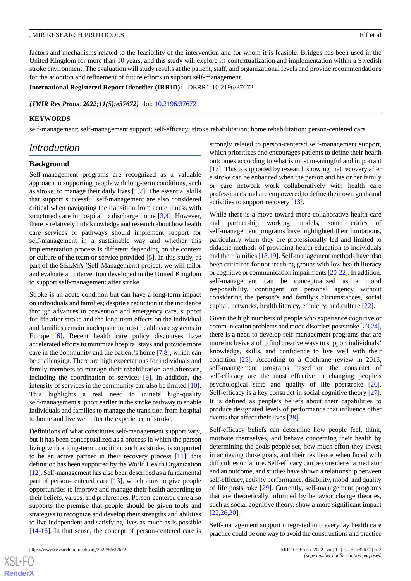factors and mechanisms related to the feasibility of the intervention and for whom it is feasible. Bridges has been used in the United Kingdom for more than 10 years, and this study will explore its contextualization and implementation within a Swedish stroke environment. The evaluation will study results at the patient, staff, and organizational levels and provide recommendations for the adoption and refinement of future efforts to support self-management.

**International Registered Report Identifier (IRRID):** DERR1-10.2196/37672

*(JMIR Res Protoc 2022;11(5):e37672)* doi: [10.2196/37672](http://dx.doi.org/10.2196/37672)

## **KEYWORDS**

self-management; self-management support; self-efficacy; stroke rehabilitation; home rehabilitation; person-centered care

# *Introduction*

#### **Background**

Self-management programs are recognized as a valuable approach to supporting people with long-term conditions, such as stroke, to manage their daily lives [\[1,](#page-8-0)[2](#page-8-1)]. The essential skills that support successful self-management are also considered critical when navigating the transition from acute illness with structured care in hospital to discharge home [\[3](#page-8-2),[4\]](#page-8-3). However, there is relatively little knowledge and research about how health care services or pathways should implement support for self-management in a sustainable way and whether this implementation process is different depending on the context or culture of the team or service provided [\[5](#page-8-4)]. In this study, as part of the SELMA (Self-Management) project, we will tailor and evaluate an intervention developed in the United Kingdom to support self-management after stroke.

Stroke is an acute condition but can have a long-term impact on individuals and families; despite a reduction in the incidence through advances in prevention and emergency care, support for life after stroke and the long-term effects on the individual and families remain inadequate in most health care systems in Europe [\[6](#page-8-5)]. Recent health care policy discourses have accelerated efforts to minimize hospital stays and provide more care in the community and the patient's home [\[7](#page-8-6),[8\]](#page-8-7), which can be challenging. There are high expectations for individuals and family members to manage their rehabilitation and aftercare, including the coordination of services [[9\]](#page-9-0). In addition, the intensity of services in the community can also be limited [[10\]](#page-9-1). This highlights a real need to initiate high-quality self-management support earlier in the stroke pathway to enable individuals and families to manage the transition from hospital to home and live well after the experience of stroke.

Definitions of what constitutes self-management support vary, but it has been conceptualized as a process in which the person living with a long-term condition, such as stroke, is supported to be an active partner in their recovery process [\[11](#page-9-2)]; this definition has been supported by the World Health Organization [[12\]](#page-9-3). Self-management has also been described as a fundamental part of person-centered care [\[13](#page-9-4)], which aims to give people opportunities to improve and manage their health according to their beliefs, values, and preferences. Person-centered care also supports the premise that people should be given tools and strategies to recognize and develop their strengths and abilities to live independent and satisfying lives as much as is possible [[14](#page-9-5)[-16](#page-9-6)]. In that sense, the concept of person-centered care is

strongly related to person-centered self-management support, which prioritizes and encourages patients to define their health outcomes according to what is most meaningful and important [[17\]](#page-9-7). This is supported by research showing that recovery after a stroke can be enhanced when the person and his or her family or care network work collaboratively with health care professionals and are empowered to define their own goals and activities to support recovery [\[13](#page-9-4)].

While there is a move toward more collaborative health care and partnership working models, some critics of self-management programs have highlighted their limitations, particularly when they are professionally led and limited to didactic methods of providing health education to individuals and their families [[18,](#page-9-8)[19](#page-9-9)]. Self-management methods have also been criticized for not reaching groups with low health literacy or cognitive or communication impairments [\[20](#page-9-10)[-22\]](#page-9-11). In addition, self-management can be conceptualized as a moral responsibility, contingent on personal agency without considering the person's and family's circumstances, social capital, networks, health literacy, ethnicity, and culture [[22\]](#page-9-11).

Given the high numbers of people who experience cognitive or communication problems and mood disorders poststroke [\[23](#page-9-12)[,24](#page-9-13)], there is a need to develop self-management programs that are more inclusive and to find creative ways to support individuals' knowledge, skills, and confidence to live well with their condition [\[25](#page-9-14)]. According to a Cochrane review in 2016, self-management programs based on the construct of self-efficacy are the most effective in changing people's psychological state and quality of life poststroke [[26\]](#page-9-15). Self-efficacy is a key construct in social cognitive theory [[27\]](#page-9-16). It is defined as people's beliefs about their capabilities to produce designated levels of performance that influence other events that affect their lives [[28\]](#page-9-17).

Self-efficacy beliefs can determine how people feel, think, motivate themselves, and behave concerning their health by determining the goals people set, how much effort they invest in achieving those goals, and their resilience when faced with difficulties or failure. Self-efficacy can be considered a mediator and an outcome, and studies have shown a relationship between self-efficacy, activity performance, disability, mood, and quality of life poststroke [[29\]](#page-9-18). Currently, self-management programs that are theoretically informed by behavior change theories, such as social cognitive theory, show a more significant impact [[25,](#page-9-14)[26,](#page-9-15)[30\]](#page-9-19).

Self-management support integrated into everyday health care practice could be one way to avoid the constructions and practice

 $XSI - F($ **[RenderX](http://www.renderx.com/)**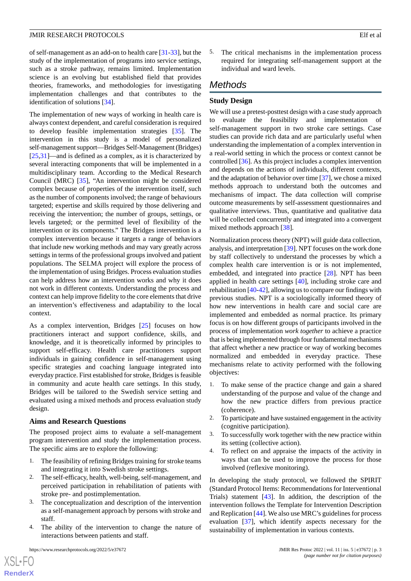of self-management as an add-on to health care [[31-](#page-9-20)[33\]](#page-10-0), but the study of the implementation of programs into service settings, such as a stroke pathway, remains limited. Implementation science is an evolving but established field that provides theories, frameworks, and methodologies for investigating implementation challenges and that contributes to the identification of solutions [[34\]](#page-10-1).

The implementation of new ways of working in health care is always context dependent, and careful consideration is required to develop feasible implementation strategies [[35\]](#page-10-2). The intervention in this study is a model of personalized self-management support—Bridges Self-Management (Bridges) [[25](#page-9-14)[,31](#page-9-20)]—and is defined as a complex, as it is characterized by several interacting components that will be implemented in a multidisciplinary team. According to the Medical Research Council (MRC) [[35\]](#page-10-2), "An intervention might be considered complex because of properties of the intervention itself, such as the number of components involved; the range of behaviours targeted; expertise and skills required by those delivering and receiving the intervention; the number of groups, settings, or levels targeted; or the permitted level of flexibility of the intervention or its components." The Bridges intervention is a complex intervention because it targets a range of behaviors that include new working methods and may vary greatly across settings in terms of the professional groups involved and patient populations. The SELMA project will explore the process of the implementation of using Bridges. Process evaluation studies can help address how an intervention works and why it does not work in different contexts. Understanding the process and context can help improve fidelity to the core elements that drive an intervention's effectiveness and adaptability to the local context.

As a complex intervention, Bridges [[25\]](#page-9-14) focuses on how practitioners interact and support confidence, skills, and knowledge, and it is theoretically informed by principles to support self-efficacy. Health care practitioners support individuals in gaining confidence in self-management using specific strategies and coaching language integrated into everyday practice. First established for stroke, Bridges is feasible in community and acute health care settings. In this study, Bridges will be tailored to the Swedish service setting and evaluated using a mixed methods and process evaluation study design.

#### **Aims and Research Questions**

The proposed project aims to evaluate a self-management program intervention and study the implementation process. The specific aims are to explore the following:

- 1. The feasibility of refining Bridges training for stroke teams and integrating it into Swedish stroke settings.
- 2. The self-efficacy, health, well-being, self-management, and perceived participation in rehabilitation of patients with stroke pre- and postimplementation.
- 3. The conceptualization and description of the intervention as a self-management approach by persons with stroke and staff.
- 4. The ability of the intervention to change the nature of interactions between patients and staff.

[XSL](http://www.w3.org/Style/XSL)•FO **[RenderX](http://www.renderx.com/)** 5. The critical mechanisms in the implementation process required for integrating self-management support at the individual and ward levels.

# *Methods*

#### **Study Design**

We will use a pretest-posttest design with a case study approach to evaluate the feasibility and implementation of self-management support in two stroke care settings. Case studies can provide rich data and are particularly useful when understanding the implementation of a complex intervention in a real-world setting in which the process or context cannot be controlled [[36\]](#page-10-3). As this project includes a complex intervention and depends on the actions of individuals, different contexts, and the adaptation of behavior over time [\[37\]](#page-10-4), we chose a mixed methods approach to understand both the outcomes and mechanisms of impact. The data collection will comprise outcome measurements by self-assessment questionnaires and qualitative interviews. Thus, quantitative and qualitative data will be collected concurrently and integrated into a convergent mixed methods approach [[38\]](#page-10-5).

Normalization process theory (NPT) will guide data collection, analysis, and interpretation [\[39\]](#page-10-6). NPT focuses on the work done by staff collectively to understand the processes by which a complex health care intervention is or is not implemented, embedded, and integrated into practice [\[28](#page-9-17)]. NPT has been applied in health care settings [\[40](#page-10-7)], including stroke care and rehabilitation [[40-](#page-10-7)[42\]](#page-10-8), allowing us to compare our findings with previous studies. NPT is a sociologically informed theory of how new interventions in health care and social care are implemented and embedded as normal practice. Its primary focus is on how different groups of participants involved in the process of implementation *work together* to achieve a practice that is being implemented through four fundamental mechanisms that affect whether a new practice or way of working becomes normalized and embedded in everyday practice. These mechanisms relate to activity performed with the following objectives:

- 1. To make sense of the practice change and gain a shared understanding of the purpose and value of the change and how the new practice differs from previous practice (coherence).
- 2. To participate and have sustained engagement in the activity (cognitive participation).
- 3. To successfully work together with the new practice within its setting (collective action).
- 4. To reflect on and appraise the impacts of the activity in ways that can be used to improve the process for those involved (reflexive monitoring).

In developing the study protocol, we followed the SPIRIT (Standard Protocol Items: Recommendations for Interventional Trials) statement [[43\]](#page-10-9). In addition, the description of the intervention follows the Template for Intervention Description and Replication [[44\]](#page-10-10). We also use MRC's guidelines for process evaluation [\[37](#page-10-4)], which identify aspects necessary for the sustainability of implementation in various contexts.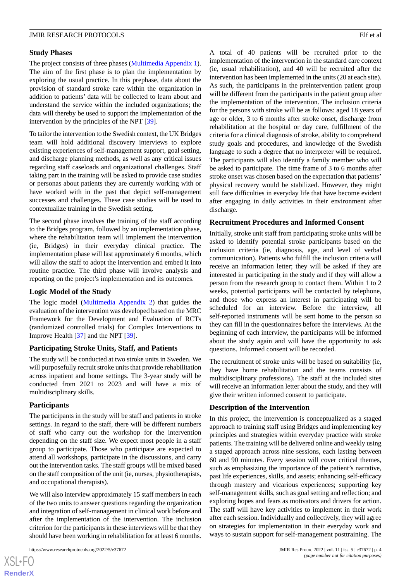# **Study Phases**

The project consists of three phases ([Multimedia Appendix 1\)](#page-8-8). The aim of the first phase is to plan the implementation by exploring the usual practice. In this prephase, data about the provision of standard stroke care within the organization in addition to patients' data will be collected to learn about and understand the service within the included organizations; the data will thereby be used to support the implementation of the intervention by the principles of the NPT [[39\]](#page-10-6).

To tailor the intervention to the Swedish context, the UK Bridges team will hold additional discovery interviews to explore existing experiences of self-management support, goal setting, and discharge planning methods, as well as any critical issues regarding staff caseloads and organizational challenges. Staff taking part in the training will be asked to provide case studies or personas about patients they are currently working with or have worked with in the past that depict self-management successes and challenges. These case studies will be used to contextualize training in the Swedish setting.

The second phase involves the training of the staff according to the Bridges program, followed by an implementation phase, where the rehabilitation team will implement the intervention (ie, Bridges) in their everyday clinical practice. The implementation phase will last approximately 6 months, which will allow the staff to adopt the intervention and embed it into routine practice. The third phase will involve analysis and reporting on the project's implementation and its outcomes.

# **Logic Model of the Study**

The logic model [\(Multimedia Appendix 2\)](#page-8-9) that guides the evaluation of the intervention was developed based on the MRC Framework for the Development and Evaluation of RCTs (randomized controlled trials) for Complex Interventions to Improve Health [\[37](#page-10-4)] and the NPT [\[39](#page-10-6)].

# **Participating Stroke Units, Staff, and Patients**

The study will be conducted at two stroke units in Sweden. We will purposefully recruit stroke units that provide rehabilitation across inpatient and home settings. The 3-year study will be conducted from 2021 to 2023 and will have a mix of multidisciplinary skills.

# **Participants**

The participants in the study will be staff and patients in stroke settings. In regard to the staff, there will be different numbers of staff who carry out the workshop for the intervention depending on the staff size. We expect most people in a staff group to participate. Those who participate are expected to attend all workshops, participate in the discussions, and carry out the intervention tasks. The staff groups will be mixed based on the staff composition of the unit (ie, nurses, physiotherapists, and occupational therapists).

We will also interview approximately 15 staff members in each of the two units to answer questions regarding the organization and integration of self-management in clinical work before and after the implementation of the intervention. The inclusion criterion for the participants in these interviews will be that they should have been working in rehabilitation for at least 6 months.

[XSL](http://www.w3.org/Style/XSL)•FO **[RenderX](http://www.renderx.com/)** A total of 40 patients will be recruited prior to the implementation of the intervention in the standard care context (ie, usual rehabilitation), and 40 will be recruited after the intervention has been implemented in the units (20 at each site). As such, the participants in the preintervention patient group will be different from the participants in the patient group after the implementation of the intervention. The inclusion criteria for the persons with stroke will be as follows: aged 18 years of age or older, 3 to 6 months after stroke onset, discharge from rehabilitation at the hospital or day care, fulfillment of the criteria for a clinical diagnosis of stroke, ability to comprehend study goals and procedures, and knowledge of the Swedish language to such a degree that no interpreter will be required. The participants will also identify a family member who will be asked to participate. The time frame of 3 to 6 months after stroke onset was chosen based on the expectation that patients' physical recovery would be stabilized. However, they might still face difficulties in everyday life that have become evident after engaging in daily activities in their environment after discharge.

# **Recruitment Procedures and Informed Consent**

Initially, stroke unit staff from participating stroke units will be asked to identify potential stroke participants based on the inclusion criteria (ie, diagnosis, age, and level of verbal communication). Patients who fulfill the inclusion criteria will receive an information letter; they will be asked if they are interested in participating in the study and if they will allow a person from the research group to contact them. Within 1 to 2 weeks, potential participants will be contacted by telephone, and those who express an interest in participating will be scheduled for an interview. Before the interview, all self-reported instruments will be sent home to the person so they can fill in the questionnaires before the interviews. At the beginning of each interview, the participants will be informed about the study again and will have the opportunity to ask questions. Informed consent will be recorded.

The recruitment of stroke units will be based on suitability (ie, they have home rehabilitation and the teams consists of multidisciplinary professions). The staff at the included sites will receive an information letter about the study, and they will give their written informed consent to participate.

# **Description of the Intervention**

In this project, the intervention is conceptualized as a staged approach to training staff using Bridges and implementing key principles and strategies within everyday practice with stroke patients. The training will be delivered online and weekly using a staged approach across nine sessions, each lasting between 60 and 90 minutes. Every session will cover critical themes, such as emphasizing the importance of the patient's narrative, past life experiences, skills, and assets; enhancing self-efficacy through mastery and vicarious experiences; supporting key self-management skills, such as goal setting and reflection; and exploring hopes and fears as motivators and drivers for action. The staff will have key activities to implement in their work after each session. Individually and collectively, they will agree on strategies for implementation in their everyday work and ways to sustain support for self-management posttraining. The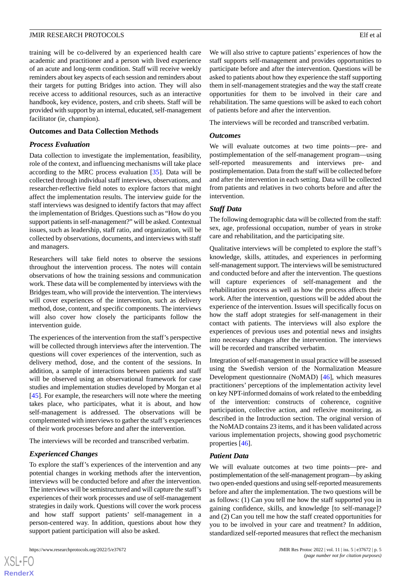training will be co-delivered by an experienced health care academic and practitioner and a person with lived experience of an acute and long-term condition. Staff will receive weekly reminders about key aspects of each session and reminders about their targets for putting Bridges into action. They will also receive access to additional resources, such as an interactive handbook, key evidence, posters, and crib sheets. Staff will be provided with support by an internal, educated, self-management facilitator (ie, champion).

# **Outcomes and Data Collection Methods**

# *Process Evaluation*

Data collection to investigate the implementation, feasibility, role of the context, and influencing mechanisms will take place according to the MRC process evaluation [[35\]](#page-10-2). Data will be collected through individual staff interviews, observations, and researcher-reflective field notes to explore factors that might affect the implementation results. The interview guide for the staff interviews was designed to identify factors that may affect the implementation of Bridges. Questions such as "How do you support patients in self-management?" will be asked. Contextual issues, such as leadership, staff ratio, and organization, will be collected by observations, documents, and interviews with staff and managers.

Researchers will take field notes to observe the sessions throughout the intervention process. The notes will contain observations of how the training sessions and communication work. These data will be complemented by interviews with the Bridges team, who will provide the intervention. The interviews will cover experiences of the intervention, such as delivery method, dose, content, and specific components. The interviews will also cover how closely the participants follow the intervention guide.

The experiences of the intervention from the staff's perspective will be collected through interviews after the intervention. The questions will cover experiences of the intervention, such as delivery method, dose, and the content of the sessions. In addition, a sample of interactions between patients and staff will be observed using an observational framework for case studies and implementation studies developed by Morgan et al [[45\]](#page-10-11). For example, the researchers will note where the meeting takes place, who participates, what it is about, and how self-management is addressed. The observations will be complemented with interviews to gather the staff's experiences of their work processes before and after the intervention.

The interviews will be recorded and transcribed verbatim.

# *Experienced Changes*

To explore the staff's experiences of the intervention and any potential changes in working methods after the intervention, interviews will be conducted before and after the intervention. The interviews will be semistructured and will capture the staff's experiences of their work processes and use of self-management strategies in daily work. Questions will cover the work process and how staff support patients' self-management in a person-centered way. In addition, questions about how they support patient participation will also be asked.

 $XS$  $\cdot$ FC **[RenderX](http://www.renderx.com/)** We will also strive to capture patients' experiences of how the staff supports self-management and provides opportunities to participate before and after the intervention. Questions will be asked to patients about how they experience the staff supporting them in self-management strategies and the way the staff create opportunities for them to be involved in their care and rehabilitation. The same questions will be asked to each cohort of patients before and after the intervention.

The interviews will be recorded and transcribed verbatim.

# *Outcomes*

We will evaluate outcomes at two time points—pre- and postimplementation of the self-management program—using self-reported measurements and interviews pre- and postimplementation. Data from the staff will be collected before and after the intervention in each setting. Data will be collected from patients and relatives in two cohorts before and after the intervention.

# *Staff Data*

The following demographic data will be collected from the staff: sex, age, professional occupation, number of years in stroke care and rehabilitation, and the participating site.

Qualitative interviews will be completed to explore the staff's knowledge, skills, attitudes, and experiences in performing self-management support. The interviews will be semistructured and conducted before and after the intervention. The questions will capture experiences of self-management and the rehabilitation process as well as how the process affects their work. After the intervention, questions will be added about the experience of the intervention. Issues will specifically focus on how the staff adopt strategies for self-management in their contact with patients. The interviews will also explore the experiences of previous uses and potential news and insights into necessary changes after the intervention. The interviews will be recorded and transcribed verbatim.

Integration of self-management in usual practice will be assessed using the Swedish version of the Normalization Measure Development questionnaire (NoMAD) [[46\]](#page-10-12), which measures practitioners' perceptions of the implementation activity level on key NPT-informed domains of work related to the embedding of the intervention: constructs of coherence, cognitive participation, collective action, and reflexive monitoring, as described in the Introduction section. The original version of the NoMAD contains 23 items, and it has been validated across various implementation projects, showing good psychometric properties [[46\]](#page-10-12).

# *Patient Data*

We will evaluate outcomes at two time points—pre- and postimplementation of the self-management program—by asking two open-ended questions and using self-reported measurements before and after the implementation. The two questions will be as follows: (1) Can you tell me how the staff supported you in gaining confidence, skills, and knowledge [to self-manage]? and (2) Can you tell me how the staff created opportunities for you to be involved in your care and treatment? In addition, standardized self-reported measures that reflect the mechanism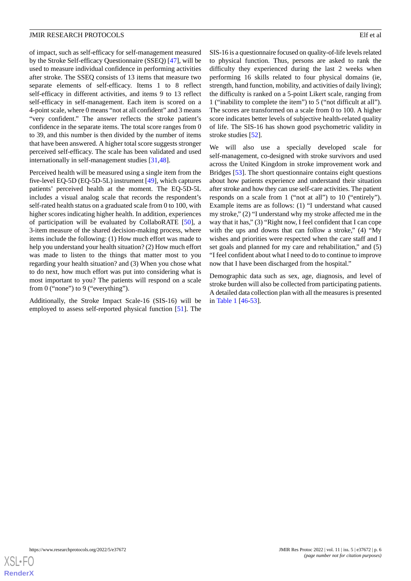of impact, such as self-efficacy for self-management measured by the Stroke Self-efficacy Questionnaire (SSEQ) [\[47](#page-10-13)], will be used to measure individual confidence in performing activities after stroke. The SSEQ consists of 13 items that measure two separate elements of self-efficacy. Items 1 to 8 reflect self-efficacy in different activities, and items 9 to 13 reflect self-efficacy in self-management. Each item is scored on a 4-point scale, where 0 means "not at all confident" and 3 means "very confident." The answer reflects the stroke patient's confidence in the separate items. The total score ranges from 0 to 39, and this number is then divided by the number of items that have been answered. A higher total score suggests stronger perceived self-efficacy. The scale has been validated and used internationally in self-management studies [[31,](#page-9-20)[48](#page-10-14)].

Perceived health will be measured using a single item from the five-level EQ-5D (EQ-5D-5L) instrument [[49\]](#page-10-15), which captures patients' perceived health at the moment. The EQ-5D-5L includes a visual analog scale that records the respondent's self-rated health status on a graduated scale from 0 to 100, with higher scores indicating higher health. In addition, experiences of participation will be evaluated by CollaboRATE [[50\]](#page-10-16), a 3-item measure of the shared decision-making process, where items include the following: (1) How much effort was made to help you understand your health situation? (2) How much effort was made to listen to the things that matter most to you regarding your health situation? and (3) When you chose what to do next, how much effort was put into considering what is most important to you? The patients will respond on a scale from 0 ("none") to 9 ("everything").

Additionally, the Stroke Impact Scale-16 (SIS-16) will be employed to assess self-reported physical function [[51\]](#page-10-17). The SIS-16 is a questionnaire focused on quality-of-life levels related to physical function. Thus, persons are asked to rank the difficulty they experienced during the last 2 weeks when performing 16 skills related to four physical domains (ie, strength, hand function, mobility, and activities of daily living); the difficulty is ranked on a 5-point Likert scale, ranging from 1 ("inability to complete the item") to 5 ("not difficult at all"). The scores are transformed on a scale from 0 to 100. A higher score indicates better levels of subjective health-related quality of life. The SIS-16 has shown good psychometric validity in stroke studies [\[52](#page-10-18)].

We will also use a specially developed scale for self-management, co-designed with stroke survivors and used across the United Kingdom in stroke improvement work and Bridges [[53\]](#page-11-0). The short questionnaire contains eight questions about how patients experience and understand their situation after stroke and how they can use self-care activities. The patient responds on a scale from 1 ("not at all") to 10 ("entirely"). Example items are as follows: (1) "I understand what caused my stroke," (2) "I understand why my stroke affected me in the way that it has," (3) "Right now, I feel confident that I can cope with the ups and downs that can follow a stroke," (4) "My wishes and priorities were respected when the care staff and I set goals and planned for my care and rehabilitation," and (5) "I feel confident about what I need to do to continue to improve now that I have been discharged from the hospital."

Demographic data such as sex, age, diagnosis, and level of stroke burden will also be collected from participating patients. A detailed data collection plan with all the measures is presented in [Table 1](#page-6-0) [\[46](#page-10-12)[-53](#page-11-0)].

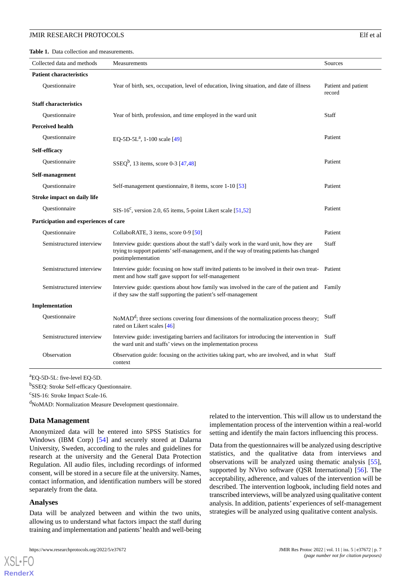<span id="page-6-0"></span>**Table 1.** Data collection and measurements.

| Collected data and methods            | Measurements                                                                                                                                                                                                 | Sources                       |
|---------------------------------------|--------------------------------------------------------------------------------------------------------------------------------------------------------------------------------------------------------------|-------------------------------|
| <b>Patient characteristics</b>        |                                                                                                                                                                                                              |                               |
| Ouestionnaire                         | Year of birth, sex, occupation, level of education, living situation, and date of illness                                                                                                                    | Patient and patient<br>record |
| <b>Staff characteristics</b>          |                                                                                                                                                                                                              |                               |
| Ouestionnaire                         | Year of birth, profession, and time employed in the ward unit                                                                                                                                                | Staff                         |
| <b>Perceived health</b>               |                                                                                                                                                                                                              |                               |
| Questionnaire                         | EQ-5D-5L <sup>a</sup> , 1-100 scale [49]                                                                                                                                                                     | Patient                       |
| Self-efficacy                         |                                                                                                                                                                                                              |                               |
| Questionnaire                         | $SSEQ^{b}$ , 13 items, score 0-3 [47,48]                                                                                                                                                                     | Patient                       |
| Self-management                       |                                                                                                                                                                                                              |                               |
| Ouestionnaire                         | Self-management questionnaire, 8 items, score 1-10 [53]                                                                                                                                                      | Patient                       |
| <b>Stroke impact on daily life</b>    |                                                                                                                                                                                                              |                               |
| Questionnaire                         | SIS-16 <sup>c</sup> , version 2.0, 65 items, 5-point Likert scale [51,52]                                                                                                                                    | Patient                       |
| Participation and experiences of care |                                                                                                                                                                                                              |                               |
| Questionnaire                         | CollaboRATE, 3 items, score 0-9 [50]                                                                                                                                                                         | Patient                       |
| Semistructured interview              | Interview guide: questions about the staff's daily work in the ward unit, how they are<br>trying to support patients' self-management, and if the way of treating patients has changed<br>postimplementation | Staff                         |
| Semistructured interview              | Interview guide: focusing on how staff invited patients to be involved in their own treat-<br>Patient<br>ment and how staff gave support for self-management                                                 |                               |
| Semistructured interview              | Interview guide: questions about how family was involved in the care of the patient and<br>if they saw the staff supporting the patient's self-management                                                    | Family                        |
| Implementation                        |                                                                                                                                                                                                              |                               |
| Questionnaire                         | $N o MADd$ ; three sections covering four dimensions of the normalization process theory;<br>rated on Likert scales [46]                                                                                     | Staff                         |
| Semistructured interview              | Interview guide: investigating barriers and facilitators for introducing the intervention in Staff<br>the ward unit and staffs' views on the implementation process                                          |                               |
| Observation                           | Observation guide: focusing on the activities taking part, who are involved, and in what<br>context                                                                                                          | Staff                         |

<sup>a</sup>EQ-5D-5L: five-level EQ-5D.

<sup>b</sup>SSEQ: Stroke Self-efficacy Questionnaire.

<sup>c</sup>SIS-16: Stroke Impact Scale-16.

<sup>d</sup>NoMAD: Normalization Measure Development questionnaire.

#### **Data Management**

Anonymized data will be entered into SPSS Statistics for Windows (IBM Corp) [\[54](#page-11-1)] and securely stored at Dalarna University, Sweden, according to the rules and guidelines for research at the university and the General Data Protection Regulation. All audio files, including recordings of informed consent, will be stored in a secure file at the university. Names, contact information, and identification numbers will be stored separately from the data.

#### **Analyses**

[XSL](http://www.w3.org/Style/XSL)•FO **[RenderX](http://www.renderx.com/)**

Data will be analyzed between and within the two units, allowing us to understand what factors impact the staff during training and implementation and patients'health and well-being

related to the intervention. This will allow us to understand the implementation process of the intervention within a real-world setting and identify the main factors influencing this process.

Data from the questionnaires will be analyzed using descriptive statistics, and the qualitative data from interviews and observations will be analyzed using thematic analysis [[55\]](#page-11-2), supported by NVivo software (QSR International) [[56\]](#page-11-3). The acceptability, adherence, and values of the intervention will be described. The intervention logbook, including field notes and transcribed interviews, will be analyzed using qualitative content analysis. In addition, patients' experiences of self-management strategies will be analyzed using qualitative content analysis.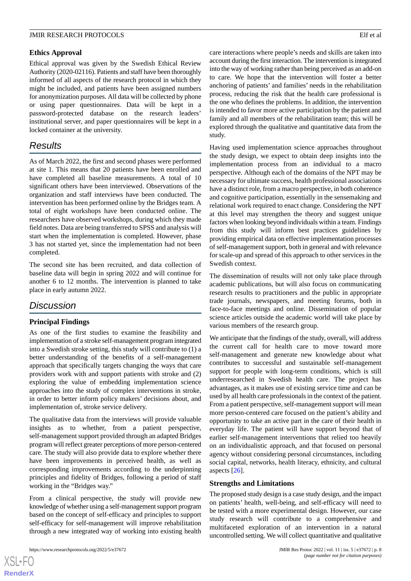#### **Ethics Approval**

Ethical approval was given by the Swedish Ethical Review Authority (2020-02116). Patients and staff have been thoroughly informed of all aspects of the research protocol in which they might be included, and patients have been assigned numbers for anonymization purposes. All data will be collected by phone or using paper questionnaires. Data will be kept in a password-protected database on the research leaders' institutional server, and paper questionnaires will be kept in a locked container at the university.

# *Results*

As of March 2022, the first and second phases were performed at site 1. This means that 20 patients have been enrolled and have completed all baseline measurements. A total of 10 significant others have been interviewed. Observations of the organization and staff interviews have been conducted. The intervention has been performed online by the Bridges team. A total of eight workshops have been conducted online. The researchers have observed workshops, during which they made field notes. Data are being transferred to SPSS and analysis will start when the implementation is completed. However, phase 3 has not started yet, since the implementation had not been completed.

The second site has been recruited, and data collection of baseline data will begin in spring 2022 and will continue for another 6 to 12 months. The intervention is planned to take place in early autumn 2022.

# *Discussion*

## **Principal Findings**

As one of the first studies to examine the feasibility and implementation of a stroke self-management program integrated into a Swedish stroke setting, this study will contribute to (1) a better understanding of the benefits of a self-management approach that specifically targets changing the ways that care providers work with and support patients with stroke and (2) exploring the value of embedding implementation science approaches into the study of complex interventions in stroke, in order to better inform policy makers' decisions about, and implementation of, stroke service delivery.

The qualitative data from the interviews will provide valuable insights as to whether, from a patient perspective, self-management support provided through an adapted Bridges program will reflect greater perceptions of more person-centered care. The study will also provide data to explore whether there have been improvements in perceived health, as well as corresponding improvements according to the underpinning principles and fidelity of Bridges, following a period of staff working in the "Bridges way."

From a clinical perspective, the study will provide new knowledge of whether using a self-management support program based on the concept of self-efficacy and principles to support self-efficacy for self-management will improve rehabilitation through a new integrated way of working into existing health

care interactions where people's needs and skills are taken into account during the first interaction. The intervention is integrated into the way of working rather than being perceived as an add-on to care. We hope that the intervention will foster a better anchoring of patients' and families' needs in the rehabilitation process, reducing the risk that the health care professional is the one who defines the problems. In addition, the intervention is intended to favor more active participation by the patient and family and all members of the rehabilitation team; this will be explored through the qualitative and quantitative data from the study.

Having used implementation science approaches throughout the study design, we expect to obtain deep insights into the implementation process from an individual to a macro perspective. Although each of the domains of the NPT may be necessary for ultimate success, health professional associations have a distinct role, from a macro perspective, in both coherence and cognitive participation, essentially in the sensemaking and relational work required to enact change. Considering the NPT at this level may strengthen the theory and suggest unique factors when looking beyond individuals within a team. Findings from this study will inform best practices guidelines by providing empirical data on effective implementation processes of self-management support, both in general and with relevance for scale-up and spread of this approach to other services in the Swedish context.

The dissemination of results will not only take place through academic publications, but will also focus on communicating research results to practitioners and the public in appropriate trade journals, newspapers, and meeting forums, both in face-to-face meetings and online. Dissemination of popular science articles outside the academic world will take place by various members of the research group.

We anticipate that the findings of the study, overall, will address the current call for health care to move toward more self-management and generate new knowledge about what contributes to successful and sustainable self-management support for people with long-term conditions, which is still underresearched in Swedish health care. The project has advantages, as it makes use of existing service time and can be used by all health care professionals in the context of the patient. From a patient perspective, self-management support will mean more person-centered care focused on the patient's ability and opportunity to take an active part in the care of their health in everyday life. The patient will have support beyond that of earlier self-management interventions that relied too heavily on an individualistic approach, and that focused on personal agency without considering personal circumstances, including social capital, networks, health literacy, ethnicity, and cultural aspects [\[26](#page-9-15)].

#### **Strengths and Limitations**

The proposed study design is a case study design, and the impact on patients' health, well-being, and self-efficacy will need to be tested with a more experimental design. However, our case study research will contribute to a comprehensive and multifaceted exploration of an intervention in a natural uncontrolled setting. We will collect quantitative and qualitative

 $XS$  $\cdot$ FC **[RenderX](http://www.renderx.com/)**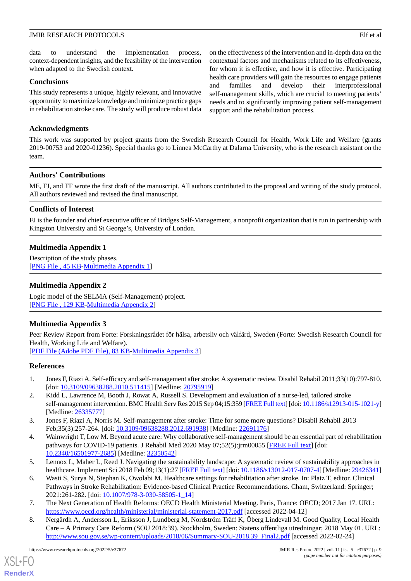on the effectiveness of the intervention and in-depth data on the contextual factors and mechanisms related to its effectiveness, for whom it is effective, and how it is effective. Participating health care providers will gain the resources to engage patients and families and develop their interprofessional self-management skills, which are crucial to meeting patients' needs and to significantly improving patient self-management

support and the rehabilitation process.

data to understand the implementation process, context-dependent insights, and the feasibility of the intervention when adapted to the Swedish context.

#### **Conclusions**

This study represents a unique, highly relevant, and innovative opportunity to maximize knowledge and minimize practice gaps in rehabilitation stroke care. The study will produce robust data

## **Acknowledgments**

This work was supported by project grants from the Swedish Research Council for Health, Work Life and Welfare (grants 2019-00753 and 2020-01236). Special thanks go to Linnea McCarthy at Dalarna University, who is the research assistant on the team.

#### **Authors' Contributions**

ME, FJ, and TF wrote the first draft of the manuscript. All authors contributed to the proposal and writing of the study protocol. All authors reviewed and revised the final manuscript.

# **Conflicts of Interest**

<span id="page-8-8"></span>FJ is the founder and chief executive officer of Bridges Self-Management, a nonprofit organization that is run in partnership with Kingston University and St George's, University of London.

# **Multimedia Appendix 1**

<span id="page-8-9"></span>Description of the study phases. [[PNG File , 45 KB-Multimedia Appendix 1](https://jmir.org/api/download?alt_name=resprot_v11i5e37672_app1.png&filename=0d131710c6222dc890ea7ea7c8b52d99.png)]

# **Multimedia Appendix 2**

Logic model of the SELMA (Self-Management) project. [[PNG File , 129 KB-Multimedia Appendix 2](https://jmir.org/api/download?alt_name=resprot_v11i5e37672_app2.png&filename=6f347e4fcf35a854b1b7da5198ea5dca.png)]

#### **Multimedia Appendix 3**

<span id="page-8-0"></span>Peer Review Report from Forte: Forskningsrådet för hälsa, arbetsliv och välfärd, Sweden (Forte: Swedish Research Council for Health, Working Life and Welfare).

<span id="page-8-1"></span>[[PDF File \(Adobe PDF File\), 83 KB](https://jmir.org/api/download?alt_name=resprot_v11i5e37672_app3.pdf&filename=08a2a60d27201f20d11cf968cac07078.pdf)-[Multimedia Appendix 3\]](https://jmir.org/api/download?alt_name=resprot_v11i5e37672_app3.pdf&filename=08a2a60d27201f20d11cf968cac07078.pdf)

## **References**

- <span id="page-8-2"></span>1. Jones F, Riazi A. Self-efficacy and self-management after stroke: A systematic review. Disabil Rehabil 2011;33(10):797-810. [doi: [10.3109/09638288.2010.511415](http://dx.doi.org/10.3109/09638288.2010.511415)] [Medline: [20795919\]](http://www.ncbi.nlm.nih.gov/entrez/query.fcgi?cmd=Retrieve&db=PubMed&list_uids=20795919&dopt=Abstract)
- <span id="page-8-3"></span>2. Kidd L, Lawrence M, Booth J, Rowat A, Russell S. Development and evaluation of a nurse-led, tailored stroke self-management intervention. BMC Health Serv Res 2015 Sep 04;15:359 [\[FREE Full text\]](https://bmchealthservres.biomedcentral.com/articles/10.1186/s12913-015-1021-y) [doi: [10.1186/s12913-015-1021-y\]](http://dx.doi.org/10.1186/s12913-015-1021-y) [Medline: [26335777](http://www.ncbi.nlm.nih.gov/entrez/query.fcgi?cmd=Retrieve&db=PubMed&list_uids=26335777&dopt=Abstract)]
- <span id="page-8-4"></span>3. Jones F, Riazi A, Norris M. Self-management after stroke: Time for some more questions? Disabil Rehabil 2013 Feb;35(3):257-264. [doi: [10.3109/09638288.2012.691938\]](http://dx.doi.org/10.3109/09638288.2012.691938) [Medline: [22691176](http://www.ncbi.nlm.nih.gov/entrez/query.fcgi?cmd=Retrieve&db=PubMed&list_uids=22691176&dopt=Abstract)]
- <span id="page-8-5"></span>4. Wainwright T, Low M. Beyond acute care: Why collaborative self-management should be an essential part of rehabilitation pathways for COVID-19 patients. J Rehabil Med 2020 May 07;52(5):jrm00055 [\[FREE Full text](https://www.medicaljournals.se/jrm/content/abstract/10.2340/16501977-2685)] [doi: [10.2340/16501977-2685](http://dx.doi.org/10.2340/16501977-2685)] [Medline: [32350542\]](http://www.ncbi.nlm.nih.gov/entrez/query.fcgi?cmd=Retrieve&db=PubMed&list_uids=32350542&dopt=Abstract)
- <span id="page-8-7"></span><span id="page-8-6"></span>5. Lennox L, Maher L, Reed J. Navigating the sustainability landscape: A systematic review of sustainability approaches in healthcare. Implement Sci 2018 Feb 09;13(1):27 [\[FREE Full text\]](https://implementationscience.biomedcentral.com/articles/10.1186/s13012-017-0707-4) [doi: [10.1186/s13012-017-0707-4\]](http://dx.doi.org/10.1186/s13012-017-0707-4) [Medline: [29426341](http://www.ncbi.nlm.nih.gov/entrez/query.fcgi?cmd=Retrieve&db=PubMed&list_uids=29426341&dopt=Abstract)]
- 6. Wasti S, Surya N, Stephan K, Owolabi M. Healthcare settings for rehabilitation after stroke. In: Platz T, editor. Clinical Pathways in Stroke Rehabilitation: Evidence-based Clinical Practice Recommendations. Cham, Switzerland: Springer; 2021:261-282. [doi: [10.1007/978-3-030-58505-1\\_14\]](http://dx.doi.org/10.1007/978-3-030-58505-1_14)
- 7. The Next Generation of Health Reforms: OECD Health Ministerial Meeting. Paris, France: OECD; 2017 Jan 17. URL: <https://www.oecd.org/health/ministerial/ministerial-statement-2017.pdf> [accessed 2022-04-12]
- 8. Nergårdh A, Andersson L, Eriksson J, Lundberg M, Nordström Träff K, Öberg Lindevall M. Good Quality, Local Health Care – A Primary Care Reform (SOU 2018:39). Stockholm, Sweden: Statens offentliga utredningar; 2018 May 01. URL: [http://www.sou.gov.se/wp-content/uploads/2018/06/Summary-SOU-2018.39\\_Final2.pdf](http://www.sou.gov.se/wp-content/uploads/2018/06/Summary-SOU-2018.39_Final2.pdf) [accessed 2022-02-24]

[XSL](http://www.w3.org/Style/XSL)•FO **[RenderX](http://www.renderx.com/)**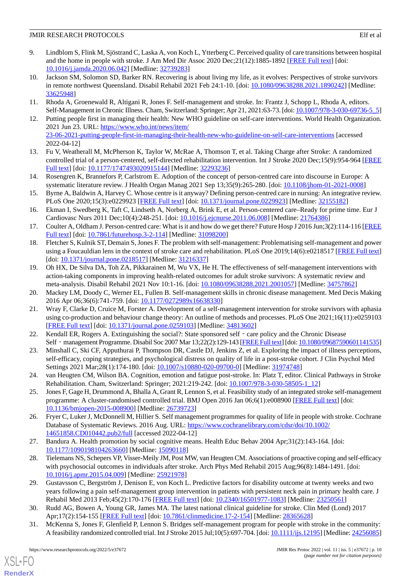- <span id="page-9-0"></span>9. Lindblom S, Flink M, Sjöstrand C, Laska A, von Koch L, Ytterberg C. Perceived quality of care transitions between hospital and the home in people with stroke. J Am Med Dir Assoc 2020 Dec; 21(12):1885-1892 [\[FREE Full text\]](https://linkinghub.elsevier.com/retrieve/pii/S1525-8610(20)30563-6) [doi: [10.1016/j.jamda.2020.06.042](http://dx.doi.org/10.1016/j.jamda.2020.06.042)] [Medline: [32739283\]](http://www.ncbi.nlm.nih.gov/entrez/query.fcgi?cmd=Retrieve&db=PubMed&list_uids=32739283&dopt=Abstract)
- <span id="page-9-1"></span>10. Jackson SM, Solomon SD, Barker RN. Recovering is about living my life, as it evolves: Perspectives of stroke survivors in remote northwest Queensland. Disabil Rehabil 2021 Feb 24:1-10. [doi: [10.1080/09638288.2021.1890242](http://dx.doi.org/10.1080/09638288.2021.1890242)] [Medline: [33625948](http://www.ncbi.nlm.nih.gov/entrez/query.fcgi?cmd=Retrieve&db=PubMed&list_uids=33625948&dopt=Abstract)]
- <span id="page-9-3"></span><span id="page-9-2"></span>11. Rhoda A, Groenewald R, Altigani R, Jones F. Self-management and stroke. In: Frantz J, Schopp L, Rhoda A, editors. Self-Management in Chronic Illness. Cham, Switzerland: Springer; Apr 21, 2021:63-73. [doi: [10.1007/978-3-030-69736-5\\_5\]](http://dx.doi.org/10.1007/978-3-030-69736-5_5)
- 12. Putting people first in managing their health: New WHO guideline on self-care interventions. World Health Organization. 2021 Jun 23. URL: [https://www.who.int/news/item/](https://www.who.int/news/item/23-06-2021-putting-people-first-in-managing-their-health-new-who-guideline-on-self-care-interventions) [23-06-2021-putting-people-first-in-managing-their-health-new-who-guideline-on-self-care-interventions](https://www.who.int/news/item/23-06-2021-putting-people-first-in-managing-their-health-new-who-guideline-on-self-care-interventions) [accessed 2022-04-12]
- <span id="page-9-5"></span><span id="page-9-4"></span>13. Fu V, Weatherall M, McPherson K, Taylor W, McRae A, Thomson T, et al. Taking Charge after Stroke: A randomized controlled trial of a person-centered, self-directed rehabilitation intervention. Int J Stroke 2020 Dec;15(9):954-964 [\[FREE](https://journals.sagepub.com/doi/10.1177/1747493020915144?url_ver=Z39.88-2003&rfr_id=ori:rid:crossref.org&rfr_dat=cr_pub%3dpubmed) [Full text\]](https://journals.sagepub.com/doi/10.1177/1747493020915144?url_ver=Z39.88-2003&rfr_id=ori:rid:crossref.org&rfr_dat=cr_pub%3dpubmed) [doi: [10.1177/1747493020915144](http://dx.doi.org/10.1177/1747493020915144)] [Medline: [32293236](http://www.ncbi.nlm.nih.gov/entrez/query.fcgi?cmd=Retrieve&db=PubMed&list_uids=32293236&dopt=Abstract)]
- 14. Rosengren K, Brannefors P, Carlstrom E. Adoption of the concept of person-centred care into discourse in Europe: A systematic literature review. J Health Organ Manag 2021 Sep 13;35(9):265-280. [doi: [10.1108/jhom-01-2021-0008\]](http://dx.doi.org/10.1108/jhom-01-2021-0008)
- <span id="page-9-6"></span>15. Byrne A, Baldwin A, Harvey C. Whose centre is it anyway? Defining person-centred care in nursing: An integrative review. PLoS One 2020;15(3):e0229923 [[FREE Full text](https://dx.plos.org/10.1371/journal.pone.0229923)] [doi: [10.1371/journal.pone.0229923\]](http://dx.doi.org/10.1371/journal.pone.0229923) [Medline: [32155182](http://www.ncbi.nlm.nih.gov/entrez/query.fcgi?cmd=Retrieve&db=PubMed&list_uids=32155182&dopt=Abstract)]
- <span id="page-9-7"></span>16. Ekman I, Swedberg K, Taft C, Lindseth A, Norberg A, Brink E, et al. Person-centered care–Ready for prime time. Eur J Cardiovasc Nurs 2011 Dec;10(4):248-251. [doi: [10.1016/j.ejcnurse.2011.06.008\]](http://dx.doi.org/10.1016/j.ejcnurse.2011.06.008) [Medline: [21764386](http://www.ncbi.nlm.nih.gov/entrez/query.fcgi?cmd=Retrieve&db=PubMed&list_uids=21764386&dopt=Abstract)]
- <span id="page-9-8"></span>17. Coulter A, Oldham J. Person-centred care: What is it and how do we get there? Future Hosp J 2016 Jun;3(2):114-116 [\[FREE](http://europepmc.org/abstract/MED/31098200) [Full text\]](http://europepmc.org/abstract/MED/31098200) [doi: [10.7861/futurehosp.3-2-114](http://dx.doi.org/10.7861/futurehosp.3-2-114)] [Medline: [31098200](http://www.ncbi.nlm.nih.gov/entrez/query.fcgi?cmd=Retrieve&db=PubMed&list_uids=31098200&dopt=Abstract)]
- <span id="page-9-9"></span>18. Fletcher S, Kulnik ST, Demain S, Jones F. The problem with self-management: Problematising self-management and power using a Foucauldian lens in the context of stroke care and rehabilitation. PLoS One 2019;14(6):e0218517 [[FREE Full text](https://dx.plos.org/10.1371/journal.pone.0218517)] [doi: [10.1371/journal.pone.0218517\]](http://dx.doi.org/10.1371/journal.pone.0218517) [Medline: [31216337\]](http://www.ncbi.nlm.nih.gov/entrez/query.fcgi?cmd=Retrieve&db=PubMed&list_uids=31216337&dopt=Abstract)
- <span id="page-9-10"></span>19. Oh HX, De Silva DA, Toh ZA, Pikkarainen M, Wu VX, He H. The effectiveness of self-management interventions with action-taking components in improving health-related outcomes for adult stroke survivors: A systematic review and meta-analysis. Disabil Rehabil 2021 Nov 10:1-16. [doi: [10.1080/09638288.2021.2001057](http://dx.doi.org/10.1080/09638288.2021.2001057)] [Medline: [34757862](http://www.ncbi.nlm.nih.gov/entrez/query.fcgi?cmd=Retrieve&db=PubMed&list_uids=34757862&dopt=Abstract)]
- 20. Mackey LM, Doody C, Werner EL, Fullen B. Self-management skills in chronic disease management. Med Decis Making 2016 Apr 06;36(6):741-759. [doi: [10.1177/0272989x16638330](http://dx.doi.org/10.1177/0272989x16638330)]
- <span id="page-9-12"></span><span id="page-9-11"></span>21. Wray F, Clarke D, Cruice M, Forster A. Development of a self-management intervention for stroke survivors with aphasia using co-production and behaviour change theory: An outline of methods and processes. PLoS One 2021;16(11):e0259103 [[FREE Full text](https://dx.plos.org/10.1371/journal.pone.0259103)] [doi: [10.1371/journal.pone.0259103](http://dx.doi.org/10.1371/journal.pone.0259103)] [Medline: [34813602](http://www.ncbi.nlm.nih.gov/entrez/query.fcgi?cmd=Retrieve&db=PubMed&list_uids=34813602&dopt=Abstract)]
- <span id="page-9-13"></span>22. Kendall ER, Rogers A. Extinguishing the social?: State sponsored self - care policy and the Chronic Disease Self - management Programme. Disabil Soc 2007 Mar 13;22(2):129-143 [\[FREE Full text](https://doi.org/10.1080/09687590601141535)] [doi: [10.1080/09687590601141535](http://dx.doi.org/10.1080/09687590601141535)]
- <span id="page-9-14"></span>23. Minshall C, Ski CF, Apputhurai P, Thompson DR, Castle DJ, Jenkins Z, et al. Exploring the impact of illness perceptions, self-efficacy, coping strategies, and psychological distress on quality of life in a post-stroke cohort. J Clin Psychol Med Settings 2021 Mar; 28(1): 174-180. [doi: [10.1007/s10880-020-09700-0](http://dx.doi.org/10.1007/s10880-020-09700-0)] [Medline: [31974748](http://www.ncbi.nlm.nih.gov/entrez/query.fcgi?cmd=Retrieve&db=PubMed&list_uids=31974748&dopt=Abstract)]
- <span id="page-9-15"></span>24. van Heugten CM, Wilson BA. Cognition, emotion and fatigue post-stroke. In: Platz T, editor. Clinical Pathways in Stroke Rehabilitation. Cham, Switzerland: Springer; 2021:219-242. [doi: [10.1007/978-3-030-58505-1\\_12\]](http://dx.doi.org/10.1007/978-3-030-58505-1_12)
- <span id="page-9-16"></span>25. Jones F, Gage H, Drummond A, Bhalla A, Grant R, Lennon S, et al. Feasibility study of an integrated stroke self-management programme: A cluster-randomised controlled trial. BMJ Open 2016 Jan 06;6(1):e008900 [[FREE Full text](https://bmjopen.bmj.com/lookup/pmidlookup?view=long&pmid=26739723)] [doi: [10.1136/bmjopen-2015-008900\]](http://dx.doi.org/10.1136/bmjopen-2015-008900) [Medline: [26739723](http://www.ncbi.nlm.nih.gov/entrez/query.fcgi?cmd=Retrieve&db=PubMed&list_uids=26739723&dopt=Abstract)]
- <span id="page-9-17"></span>26. Fryer C, Luker J, McDonnell M, Hillier S. Self management programmes for quality of life in people with stroke. Cochrane Database of Systematic Reviews. 2016 Aug. URL: [https://www.cochranelibrary.com/cdsr/doi/10.1002/](https://www.cochranelibrary.com/cdsr/doi/10.1002/14651858.CD010442.pub2/full) [14651858.CD010442.pub2/full](https://www.cochranelibrary.com/cdsr/doi/10.1002/14651858.CD010442.pub2/full) [accessed 2022-04-12]
- <span id="page-9-18"></span>27. Bandura A. Health promotion by social cognitive means. Health Educ Behav 2004 Apr;31(2):143-164. [doi: [10.1177/1090198104263660\]](http://dx.doi.org/10.1177/1090198104263660) [Medline: [15090118\]](http://www.ncbi.nlm.nih.gov/entrez/query.fcgi?cmd=Retrieve&db=PubMed&list_uids=15090118&dopt=Abstract)
- <span id="page-9-19"></span>28. Tielemans NS, Schepers VP, Visser-Meily JM, Post MW, van Heugten CM. Associations of proactive coping and self-efficacy with psychosocial outcomes in individuals after stroke. Arch Phys Med Rehabil 2015 Aug;96(8):1484-1491. [doi: [10.1016/j.apmr.2015.04.009\]](http://dx.doi.org/10.1016/j.apmr.2015.04.009) [Medline: [25921978](http://www.ncbi.nlm.nih.gov/entrez/query.fcgi?cmd=Retrieve&db=PubMed&list_uids=25921978&dopt=Abstract)]
- <span id="page-9-20"></span>29. Gustavsson C, Bergström J, Denison E, von Koch L. Predictive factors for disability outcome at twenty weeks and two years following a pain self-management group intervention in patients with persistent neck pain in primary health care. J Rehabil Med 2013 Feb;45(2):170-176 [[FREE Full text](https://www.medicaljournals.se/jrm/content/abstract/10.2340/16501977-1083)] [doi: [10.2340/16501977-1083](http://dx.doi.org/10.2340/16501977-1083)] [Medline: [23250561\]](http://www.ncbi.nlm.nih.gov/entrez/query.fcgi?cmd=Retrieve&db=PubMed&list_uids=23250561&dopt=Abstract)
- 30. Rudd AG, Bowen A, Young GR, James MA. The latest national clinical guideline for stroke. Clin Med (Lond) 2017 Apr;17(2):154-155 [\[FREE Full text\]](http://europepmc.org/abstract/MED/28365628) [doi: [10.7861/clinmedicine.17-2-154](http://dx.doi.org/10.7861/clinmedicine.17-2-154)] [Medline: [28365628\]](http://www.ncbi.nlm.nih.gov/entrez/query.fcgi?cmd=Retrieve&db=PubMed&list_uids=28365628&dopt=Abstract)
- 31. McKenna S, Jones F, Glenfield P, Lennon S. Bridges self-management program for people with stroke in the community: A feasibility randomized controlled trial. Int J Stroke 2015 Jul;10(5):697-704. [doi: [10.1111/ijs.12195\]](http://dx.doi.org/10.1111/ijs.12195) [Medline: [24256085\]](http://www.ncbi.nlm.nih.gov/entrez/query.fcgi?cmd=Retrieve&db=PubMed&list_uids=24256085&dopt=Abstract)

 $XS$  • FO **[RenderX](http://www.renderx.com/)**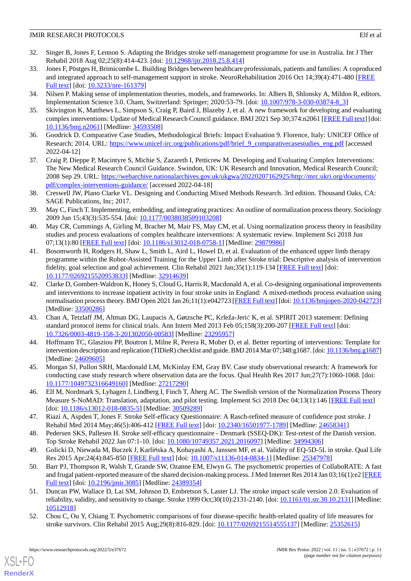- 32. Singer B, Jones F, Lennon S. Adapting the Bridges stroke self-management programme for use in Australia. Int J Ther Rehabil 2018 Aug 02;25(8):414-423. [doi: [10.12968/ijtr.2018.25.8.414\]](http://dx.doi.org/10.12968/ijtr.2018.25.8.414)
- <span id="page-10-0"></span>33. Jones F, Pöstges H, Brimicombe L. Building Bridges between healthcare professionals, patients and families: A coproduced and integrated approach to self-management support in stroke. NeuroRehabilitation 2016 Oct 14;39(4):471-480 [[FREE](https://content.iospress.com/articles/neurorehabilitation/nre1379) [Full text\]](https://content.iospress.com/articles/neurorehabilitation/nre1379) [doi: [10.3233/nre-161379\]](http://dx.doi.org/10.3233/nre-161379)
- <span id="page-10-2"></span><span id="page-10-1"></span>34. Nilsen P. Making sense of implementation theories, models, and frameworks. In: Albers B, Shlonsky A, Mildon R, editors. Implementation Science 3.0. Cham, Switzerland: Springer; 2020:53-79. [doi: [10.1007/978-3-030-03874-8\\_3](http://dx.doi.org/10.1007/978-3-030-03874-8_3)]
- <span id="page-10-3"></span>35. Skivington K, Matthews L, Simpson S, Craig P, Baird J, Blazeby J, et al. A new framework for developing and evaluating complex interventions: Update of Medical Research Council guidance. BMJ 2021 Sep 30;374:n2061 [\[FREE Full text\]](http://www.bmj.com/lookup/pmidlookup?view=long&pmid=34593508) [doi: [10.1136/bmj.n2061\]](http://dx.doi.org/10.1136/bmj.n2061) [Medline: [34593508\]](http://www.ncbi.nlm.nih.gov/entrez/query.fcgi?cmd=Retrieve&db=PubMed&list_uids=34593508&dopt=Abstract)
- <span id="page-10-4"></span>36. Goodrick D. Comparative Case Studies, Methodological Briefs: Impact Evaluation 9. Florence, Italy: UNICEF Office of Research; 2014. URL: [https://www.unicef-irc.org/publications/pdf/brief\\_9\\_comparativecasestudies\\_eng.pdf](https://www.unicef-irc.org/publications/pdf/brief_9_comparativecasestudies_eng.pdf) [accessed 2022-04-12]
- <span id="page-10-5"></span>37. Craig P, Dieppe P, Macintyre S, Michie S, Zazareth I, Petticrew M. Developing and Evaluating Complex Interventions: The New Medical Research Council Guidance. Swindon, UK: UK Research and Innovation, Medical Research Council; 2008 Sep 29. URL: [https://webarchive.nationalarchives.gov.uk/ukgwa/20220207162925/http://mrc.ukri.org/documents/](https://webarchive.nationalarchives.gov.uk/ukgwa/20220207162925/http://mrc.ukri.org/documents/pdf/complex-interventions-guidance/) [pdf/complex-interventions-guidance/](https://webarchive.nationalarchives.gov.uk/ukgwa/20220207162925/http://mrc.ukri.org/documents/pdf/complex-interventions-guidance/) [accessed 2022-04-18]
- <span id="page-10-6"></span>38. Creswell JW, Plano Clarke VL. Designing and Conducting Mixed Methods Research. 3rd edition. Thousand Oaks, CA: SAGE Publications, Inc; 2017.
- <span id="page-10-7"></span>39. May C, Finch T. Implementing, embedding, and integrating practices: An outline of normalization process theory. Sociology 2009 Jun 15;43(3):535-554. [doi: [10.1177/0038038509103208\]](http://dx.doi.org/10.1177/0038038509103208)
- 40. May CR, Cummings A, Girling M, Bracher M, Mair FS, May CM, et al. Using normalization process theory in feasibility studies and process evaluations of complex healthcare interventions: A systematic review. Implement Sci 2018 Jun 07;13(1):80 [[FREE Full text\]](https://implementationscience.biomedcentral.com/articles/10.1186/s13012-018-0758-1) [doi: [10.1186/s13012-018-0758-1](http://dx.doi.org/10.1186/s13012-018-0758-1)] [Medline: [29879986](http://www.ncbi.nlm.nih.gov/entrez/query.fcgi?cmd=Retrieve&db=PubMed&list_uids=29879986&dopt=Abstract)]
- <span id="page-10-8"></span>41. Bosomworth H, Rodgers H, Shaw L, Smith L, Aird L, Howel D, et al. Evaluation of the enhanced upper limb therapy programme within the Robot-Assisted Training for the Upper Limb after Stroke trial: Descriptive analysis of intervention fidelity, goal selection and goal achievement. Clin Rehabil 2021 Jan;35(1):119-134 [[FREE Full text](https://journals.sagepub.com/doi/10.1177/0269215520953833?url_ver=Z39.88-2003&rfr_id=ori:rid:crossref.org&rfr_dat=cr_pub%3dpubmed)] [doi: [10.1177/0269215520953833\]](http://dx.doi.org/10.1177/0269215520953833) [Medline: [32914639\]](http://www.ncbi.nlm.nih.gov/entrez/query.fcgi?cmd=Retrieve&db=PubMed&list_uids=32914639&dopt=Abstract)
- <span id="page-10-9"></span>42. Clarke D, Gombert-Waldron K, Honey S, Cloud G, Harris R, Macdonald A, et al. Co-designing organisational improvements and interventions to increase inpatient activity in four stroke units in England: A mixed-methods process evaluation using normalisation process theory. BMJ Open 2021 Jan 26;11(1):e042723 [\[FREE Full text](https://bmjopen.bmj.com/lookup/pmidlookup?view=long&pmid=33500286)] [doi: [10.1136/bmjopen-2020-042723\]](http://dx.doi.org/10.1136/bmjopen-2020-042723) [Medline: [33500286](http://www.ncbi.nlm.nih.gov/entrez/query.fcgi?cmd=Retrieve&db=PubMed&list_uids=33500286&dopt=Abstract)]
- <span id="page-10-10"></span>43. Chan A, Tetzlaff JM, Altman DG, Laupacis A, Gøtzsche PC, Krleža-Jerić K, et al. SPIRIT 2013 statement: Defining standard protocol items for clinical trials. Ann Intern Med 2013 Feb 05;158(3):200-207 [\[FREE Full text\]](https://www.acpjournals.org/doi/abs/10.7326/0003-4819-158-3-201302050-00583?url_ver=Z39.88-2003&rfr_id=ori:rid:crossref.org&rfr_dat=cr_pub%3dpubmed) [doi: [10.7326/0003-4819-158-3-201302050-00583](http://dx.doi.org/10.7326/0003-4819-158-3-201302050-00583)] [Medline: [23295957](http://www.ncbi.nlm.nih.gov/entrez/query.fcgi?cmd=Retrieve&db=PubMed&list_uids=23295957&dopt=Abstract)]
- <span id="page-10-12"></span><span id="page-10-11"></span>44. Hoffmann TC, Glasziou PP, Boutron I, Milne R, Perera R, Moher D, et al. Better reporting of interventions: Template for intervention description and replication (TIDieR) checklist and guide. BMJ 2014 Mar 07;348:g1687. [doi: [10.1136/bmj.g1687](http://dx.doi.org/10.1136/bmj.g1687)] [Medline: [24609605](http://www.ncbi.nlm.nih.gov/entrez/query.fcgi?cmd=Retrieve&db=PubMed&list_uids=24609605&dopt=Abstract)]
- <span id="page-10-13"></span>45. Morgan SJ, Pullon SRH, Macdonald LM, McKinlay EM, Gray BV. Case study observational research: A framework for conducting case study research where observation data are the focus. Qual Health Res 2017 Jun;27(7):1060-1068. [doi: [10.1177/1049732316649160\]](http://dx.doi.org/10.1177/1049732316649160) [Medline: [27217290\]](http://www.ncbi.nlm.nih.gov/entrez/query.fcgi?cmd=Retrieve&db=PubMed&list_uids=27217290&dopt=Abstract)
- <span id="page-10-14"></span>46. Elf M, Nordmark S, Lyhagen J, Lindberg I, Finch T, Åberg AC. The Swedish version of the Normalization Process Theory Measure S-NoMAD: Translation, adaptation, and pilot testing. Implement Sci 2018 Dec 04;13(1):146 [[FREE Full text](https://implementationscience.biomedcentral.com/articles/10.1186/s13012-018-0835-5)] [doi: [10.1186/s13012-018-0835-5](http://dx.doi.org/10.1186/s13012-018-0835-5)] [Medline: [30509289\]](http://www.ncbi.nlm.nih.gov/entrez/query.fcgi?cmd=Retrieve&db=PubMed&list_uids=30509289&dopt=Abstract)
- <span id="page-10-16"></span><span id="page-10-15"></span>47. Riazi A, Aspden T, Jones F. Stroke Self-efficacy Questionnaire: A Rasch-refined measure of confidence post stroke. J Rehabil Med 2014 May;46(5):406-412 [\[FREE Full text\]](https://www.medicaljournals.se/jrm/content/abstract/10.2340/16501977-1789) [doi: [10.2340/16501977-1789](http://dx.doi.org/10.2340/16501977-1789)] [Medline: [24658341](http://www.ncbi.nlm.nih.gov/entrez/query.fcgi?cmd=Retrieve&db=PubMed&list_uids=24658341&dopt=Abstract)]
- 48. Pedersen SKS, Pallesen H. Stroke self-efficacy questionnaire Denmark (SSEQ-DK): Test-retest of the Danish version. Top Stroke Rehabil 2022 Jan 07:1-10. [doi: [10.1080/10749357.2021.2016097\]](http://dx.doi.org/10.1080/10749357.2021.2016097) [Medline: [34994306](http://www.ncbi.nlm.nih.gov/entrez/query.fcgi?cmd=Retrieve&db=PubMed&list_uids=34994306&dopt=Abstract)]
- <span id="page-10-17"></span>49. Golicki D, Niewada M, Buczek J, Karlińska A, Kobayashi A, Janssen MF, et al. Validity of EQ-5D-5L in stroke. Qual Life Res 2015 Apr;24(4):845-850 [\[FREE Full text\]](http://europepmc.org/abstract/MED/25347978) [doi: [10.1007/s11136-014-0834-1](http://dx.doi.org/10.1007/s11136-014-0834-1)] [Medline: [25347978](http://www.ncbi.nlm.nih.gov/entrez/query.fcgi?cmd=Retrieve&db=PubMed&list_uids=25347978&dopt=Abstract)]
- <span id="page-10-18"></span>50. Barr PJ, Thompson R, Walsh T, Grande SW, Ozanne EM, Elwyn G. The psychometric properties of CollaboRATE: A fast and frugal patient-reported measure of the shared decision-making process. J Med Internet Res 2014 Jan 03;16(1):e2 [\[FREE](https://www.jmir.org/2014/1/e2/) [Full text\]](https://www.jmir.org/2014/1/e2/) [doi: [10.2196/jmir.3085](http://dx.doi.org/10.2196/jmir.3085)] [Medline: [24389354\]](http://www.ncbi.nlm.nih.gov/entrez/query.fcgi?cmd=Retrieve&db=PubMed&list_uids=24389354&dopt=Abstract)
- 51. Duncan PW, Wallace D, Lai SM, Johnson D, Embretson S, Laster LJ. The stroke impact scale version 2.0. Evaluation of reliability, validity, and sensitivity to change. Stroke 1999 Oct;30(10):2131-2140. [doi: [10.1161/01.str.30.10.2131\]](http://dx.doi.org/10.1161/01.str.30.10.2131) [Medline: [10512918](http://www.ncbi.nlm.nih.gov/entrez/query.fcgi?cmd=Retrieve&db=PubMed&list_uids=10512918&dopt=Abstract)]
- 52. Chou C, Ou Y, Chiang T. Psychometric comparisons of four disease-specific health-related quality of life measures for stroke survivors. Clin Rehabil 2015 Aug;29(8):816-829. [doi: [10.1177/0269215514555137](http://dx.doi.org/10.1177/0269215514555137)] [Medline: [25352615](http://www.ncbi.nlm.nih.gov/entrez/query.fcgi?cmd=Retrieve&db=PubMed&list_uids=25352615&dopt=Abstract)]

[XSL](http://www.w3.org/Style/XSL)•FO **[RenderX](http://www.renderx.com/)**